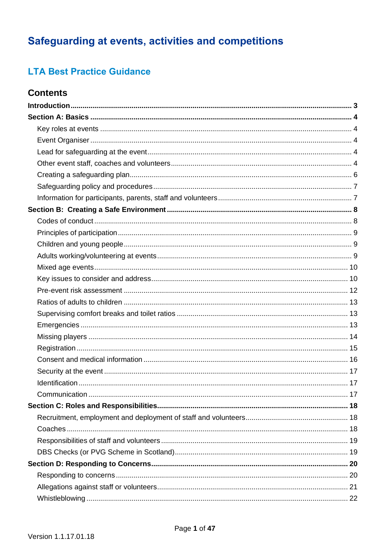# Safeguarding at events, activities and competitions

# **LTA Best Practice Guidance**

## **Contents**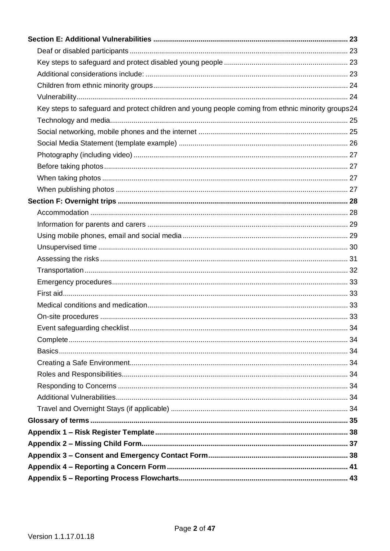| Key steps to safeguard and protect children and young people coming from ethnic minority groups24 |  |
|---------------------------------------------------------------------------------------------------|--|
|                                                                                                   |  |
|                                                                                                   |  |
|                                                                                                   |  |
|                                                                                                   |  |
|                                                                                                   |  |
|                                                                                                   |  |
|                                                                                                   |  |
|                                                                                                   |  |
|                                                                                                   |  |
|                                                                                                   |  |
|                                                                                                   |  |
|                                                                                                   |  |
|                                                                                                   |  |
|                                                                                                   |  |
|                                                                                                   |  |
|                                                                                                   |  |
|                                                                                                   |  |
|                                                                                                   |  |
|                                                                                                   |  |
|                                                                                                   |  |
|                                                                                                   |  |
|                                                                                                   |  |
|                                                                                                   |  |
|                                                                                                   |  |
|                                                                                                   |  |
|                                                                                                   |  |
|                                                                                                   |  |
|                                                                                                   |  |
|                                                                                                   |  |
|                                                                                                   |  |
|                                                                                                   |  |
|                                                                                                   |  |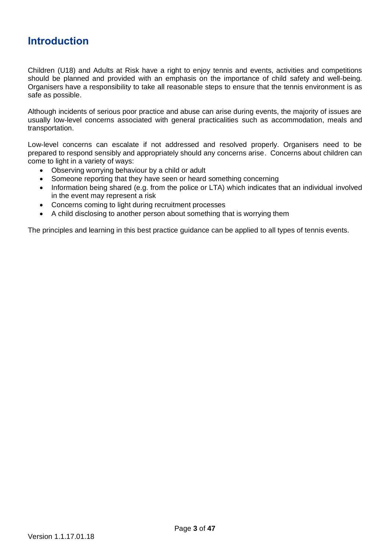# <span id="page-2-0"></span>**Introduction**

Children (U18) and Adults at Risk have a right to enjoy tennis and events, activities and competitions should be planned and provided with an emphasis on the importance of child safety and well-being. Organisers have a responsibility to take all reasonable steps to ensure that the tennis environment is as safe as possible.

Although incidents of serious poor practice and abuse can arise during events, the majority of issues are usually low-level concerns associated with general practicalities such as accommodation, meals and transportation.

Low-level concerns can escalate if not addressed and resolved properly. Organisers need to be prepared to respond sensibly and appropriately should any concerns arise. Concerns about children can come to light in a variety of ways:

- Observing worrying behaviour by a child or adult
- Someone reporting that they have seen or heard something concerning
- Information being shared (e.g. from the police or LTA) which indicates that an individual involved in the event may represent a risk
- Concerns coming to light during recruitment processes
- A child disclosing to another person about something that is worrying them

The principles and learning in this best practice guidance can be applied to all types of tennis events.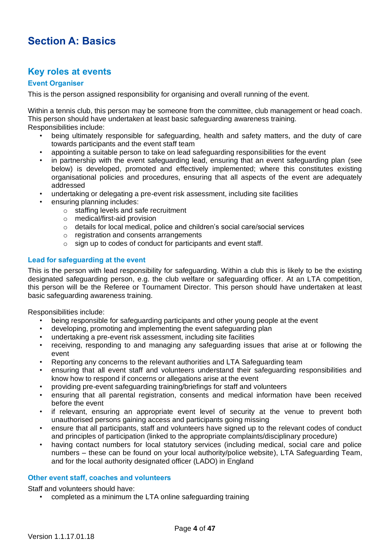# <span id="page-3-0"></span>**Section A: Basics**

## <span id="page-3-1"></span>**Key roles at events**

### <span id="page-3-2"></span>**Event Organiser**

This is the person assigned responsibility for organising and overall running of the event.

Within a tennis club, this person may be someone from the committee, club management or head coach. This person should have undertaken at least basic safeguarding awareness training. Responsibilities include:

- being ultimately responsible for safeguarding, health and safety matters, and the duty of care towards participants and the event staff team
- appointing a suitable person to take on lead safeguarding responsibilities for the event
- in partnership with the event safeguarding lead, ensuring that an event safeguarding plan (see below) is developed, promoted and effectively implemented; where this constitutes existing organisational policies and procedures, ensuring that all aspects of the event are adequately addressed
- undertaking or delegating a pre-event risk assessment, including site facilities
- ensuring planning includes:
	- o staffing levels and safe recruitment
	- o medical/first-aid provision
	- o details for local medical, police and children's social care/social services
	- o registration and consents arrangements
	- o sign up to codes of conduct for participants and event staff.

### <span id="page-3-3"></span>**Lead for safeguarding at the event**

This is the person with lead responsibility for safeguarding. Within a club this is likely to be the existing designated safeguarding person, e.g. the club welfare or safeguarding officer. At an LTA competition, this person will be the Referee or Tournament Director. This person should have undertaken at least basic safeguarding awareness training.

Responsibilities include:

- being responsible for safeguarding participants and other young people at the event
- developing, promoting and implementing the event safeguarding plan
- undertaking a pre-event risk assessment, including site facilities
- receiving, responding to and managing any safeguarding issues that arise at or following the event
- Reporting any concerns to the relevant authorities and LTA Safeguarding team
- ensuring that all event staff and volunteers understand their safeguarding responsibilities and know how to respond if concerns or allegations arise at the event
- providing pre-event safeguarding training/briefings for staff and volunteers
- ensuring that all parental registration, consents and medical information have been received before the event
- if relevant, ensuring an appropriate event level of security at the venue to prevent both unauthorised persons gaining access and participants going missing
- ensure that all participants, staff and volunteers have signed up to the relevant codes of conduct and principles of participation (linked to the appropriate complaints/disciplinary procedure)
- having contact numbers for local statutory services (including medical, social care and police numbers – these can be found on your local authority/police website), LTA Safeguarding Team, and for the local authority designated officer (LADO) in England

### <span id="page-3-4"></span>**Other event staff, coaches and volunteers**

Staff and volunteers should have:

• completed as a minimum the LTA online safeguarding training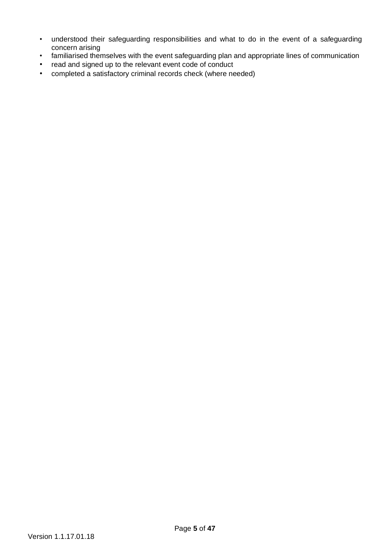- understood their safeguarding responsibilities and what to do in the event of a safeguarding concern arising
- familiarised themselves with the event safeguarding plan and appropriate lines of communication
- read and signed up to the relevant event code of conduct
- completed a satisfactory criminal records check (where needed)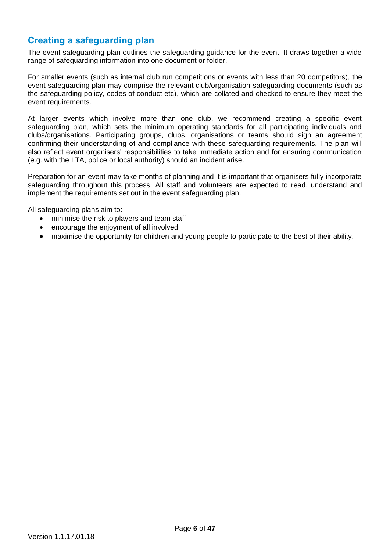## <span id="page-5-0"></span>**Creating a safeguarding plan**

The event safeguarding plan outlines the safeguarding guidance for the event. It draws together a wide range of safeguarding information into one document or folder.

For smaller events (such as internal club run competitions or events with less than 20 competitors), the event safeguarding plan may comprise the relevant club/organisation safeguarding documents (such as the safeguarding policy, codes of conduct etc), which are collated and checked to ensure they meet the event requirements.

At larger events which involve more than one club, we recommend creating a specific event safeguarding plan, which sets the minimum operating standards for all participating individuals and clubs/organisations. Participating groups, clubs, organisations or teams should sign an agreement confirming their understanding of and compliance with these safeguarding requirements. The plan will also reflect event organisers' responsibilities to take immediate action and for ensuring communication (e.g. with the LTA, police or local authority) should an incident arise.

Preparation for an event may take months of planning and it is important that organisers fully incorporate safeguarding throughout this process. All staff and volunteers are expected to read, understand and implement the requirements set out in the event safeguarding plan.

All safeguarding plans aim to:

- minimise the risk to players and team staff
- encourage the enjoyment of all involved
- maximise the opportunity for children and young people to participate to the best of their ability.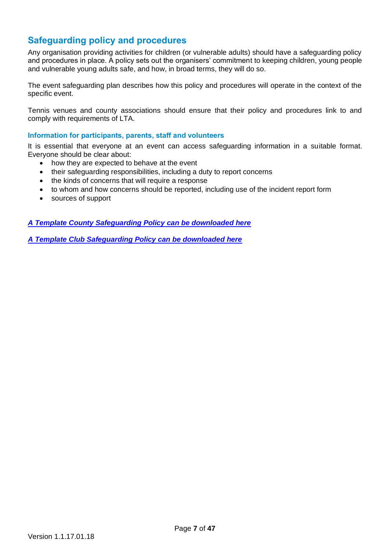## <span id="page-6-0"></span>**Safeguarding policy and procedures**

Any organisation providing activities for children (or vulnerable adults) should have a safeguarding policy and procedures in place. A policy sets out the organisers' commitment to keeping children, young people and vulnerable young adults safe, and how, in broad terms, they will do so.

The event safeguarding plan describes how this policy and procedures will operate in the context of the specific event.

Tennis venues and county associations should ensure that their policy and procedures link to and comply with requirements of LTA.

#### <span id="page-6-1"></span>**Information for participants, parents, staff and volunteers**

It is essential that everyone at an event can access safeguarding information in a suitable format. Everyone should be clear about:

- how they are expected to behave at the event
- their safeguarding responsibilities, including a duty to report concerns
- the kinds of concerns that will require a response
- to whom and how concerns should be reported, including use of the incident report form
- sources of support

*[A Template County Safeguarding Policy](https://www.lta.org.uk/globalassets/about-lta/safeguarding/template-county-safeguarding-policy.docx) can be downloaded here*

*[A Template Club Safeguarding Policy can be downloaded here](https://www.lta.org.uk/globalassets/about-lta/safeguarding/template-safeguarding-policy.docx)*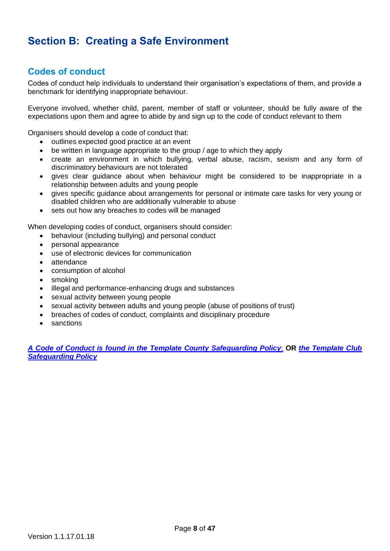# <span id="page-7-0"></span>**Section B: Creating a Safe Environment**

## <span id="page-7-1"></span>**Codes of conduct**

Codes of conduct help individuals to understand their organisation's expectations of them, and provide a benchmark for identifying inappropriate behaviour.

Everyone involved, whether child, parent, member of staff or volunteer, should be fully aware of the expectations upon them and agree to abide by and sign up to the code of conduct relevant to them

Organisers should develop a code of conduct that:

- outlines expected good practice at an event
- be written in language appropriate to the group / age to which they apply
- create an environment in which bullying, verbal abuse, racism, sexism and any form of discriminatory behaviours are not tolerated
- gives clear guidance about when behaviour might be considered to be inappropriate in a relationship between adults and young people
- gives specific guidance about arrangements for personal or intimate care tasks for very young or disabled children who are additionally vulnerable to abuse
- sets out how any breaches to codes will be managed

When developing codes of conduct, organisers should consider:

- behaviour (including bullying) and personal conduct
- personal appearance
- use of electronic devices for communication
- attendance
- consumption of alcohol
- smoking
- illegal and performance-enhancing drugs and substances
- sexual activity between young people
- sexual activity between adults and young people (abuse of positions of trust)
- breaches of codes of conduct, complaints and disciplinary procedure
- sanctions

*A [Code of Conduct is found in the Template](https://www.lta.org.uk/globalassets/about-lta/safeguarding/template-county-safeguarding-policy.docx) County Safeguarding Policy*; **OR** *[the Template Club](https://www.lta.org.uk/globalassets/about-lta/safeguarding/template-safeguarding-policy.docx)  [Safeguarding Policy](https://www.lta.org.uk/globalassets/about-lta/safeguarding/template-safeguarding-policy.docx)*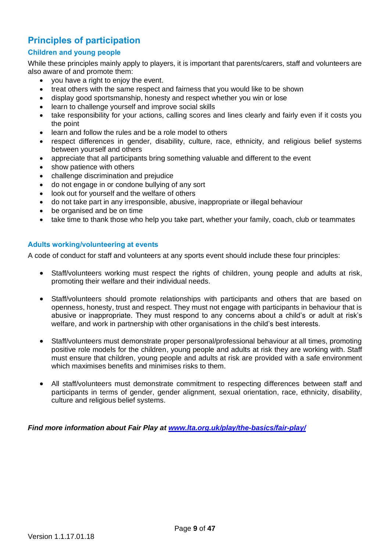# <span id="page-8-0"></span>**Principles of participation**

### <span id="page-8-1"></span>**Children and young people**

While these principles mainly apply to players, it is important that parents/carers, staff and volunteers are also aware of and promote them:

- you have a right to enjoy the event.
- treat others with the same respect and fairness that you would like to be shown
- display good sportsmanship, honesty and respect whether you win or lose
- learn to challenge yourself and improve social skills
- take responsibility for your actions, calling scores and lines clearly and fairly even if it costs you the point
- learn and follow the rules and be a role model to others
- respect differences in gender, disability, culture, race, ethnicity, and religious belief systems between yourself and others
- appreciate that all participants bring something valuable and different to the event
- show patience with others
- challenge discrimination and prejudice
- do not engage in or condone bullying of any sort
- look out for yourself and the welfare of others
- do not take part in any irresponsible, abusive, inappropriate or illegal behaviour
- be organised and be on time
- take time to thank those who help you take part, whether your family, coach, club or teammates

#### <span id="page-8-2"></span>**Adults working/volunteering at events**

A code of conduct for staff and volunteers at any sports event should include these four principles:

- Staff/volunteers working must respect the rights of children, young people and adults at risk, promoting their welfare and their individual needs.
- Staff/volunteers should promote relationships with participants and others that are based on openness, honesty, trust and respect. They must not engage with participants in behaviour that is abusive or inappropriate. They must respond to any concerns about a child's or adult at risk's welfare, and work in partnership with other organisations in the child's best interests.
- Staff/volunteers must demonstrate proper personal/professional behaviour at all times, promoting positive role models for the children, young people and adults at risk they are working with. Staff must ensure that children, young people and adults at risk are provided with a safe environment which maximises benefits and minimises risks to them.
- All staff/volunteers must demonstrate commitment to respecting differences between staff and participants in terms of gender, gender alignment, sexual orientation, race, ethnicity, disability, culture and religious belief systems.

*Find more information about Fair Play at [www.lta.org.uk/play/the-basics/fair-play/](http://www.lta.org.uk/play/the-basics/fair-play/)*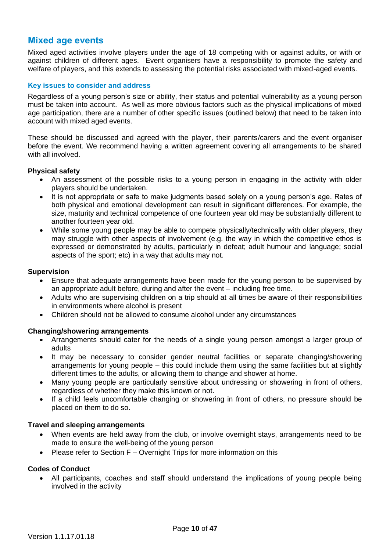## <span id="page-9-0"></span>**Mixed age events**

Mixed aged activities involve players under the age of 18 competing with or against adults, or with or against children of different ages. Event organisers have a responsibility to promote the safety and welfare of players, and this extends to assessing the potential risks associated with mixed-aged events.

#### <span id="page-9-1"></span>**Key issues to consider and address**

Regardless of a young person's size or ability, their status and potential vulnerability as a young person must be taken into account. As well as more obvious factors such as the physical implications of mixed age participation, there are a number of other specific issues (outlined below) that need to be taken into account with mixed aged events.

These should be discussed and agreed with the player, their parents/carers and the event organiser before the event. We recommend having a written agreement covering all arrangements to be shared with all involved.

#### **Physical safety**

- An assessment of the possible risks to a young person in engaging in the activity with older players should be undertaken.
- It is not appropriate or safe to make judgments based solely on a young person's age. Rates of both physical and emotional development can result in significant differences. For example, the size, maturity and technical competence of one fourteen year old may be substantially different to another fourteen year old.
- While some young people may be able to compete physically/technically with older players, they may struggle with other aspects of involvement (e.g. the way in which the competitive ethos is expressed or demonstrated by adults, particularly in defeat; adult humour and language; social aspects of the sport; etc) in a way that adults may not.

#### **Supervision**

- Ensure that adequate arrangements have been made for the young person to be supervised by an appropriate adult before, during and after the event – including free time.
- Adults who are supervising children on a trip should at all times be aware of their responsibilities in environments where alcohol is present
- Children should not be allowed to consume alcohol under any circumstances

#### **Changing/showering arrangements**

- Arrangements should cater for the needs of a single young person amongst a larger group of adults
- It may be necessary to consider gender neutral facilities or separate changing/showering arrangements for young people – this could include them using the same facilities but at slightly different times to the adults, or allowing them to change and shower at home.
- Many young people are particularly sensitive about undressing or showering in front of others, regardless of whether they make this known or not.
- If a child feels uncomfortable changing or showering in front of others, no pressure should be placed on them to do so.

#### **Travel and sleeping arrangements**

- When events are held away from the club, or involve overnight stays, arrangements need to be made to ensure the well-being of the young person
- Please refer to Section F Overnight Trips for more information on this

#### **Codes of Conduct**

• All participants, coaches and staff should understand the implications of young people being involved in the activity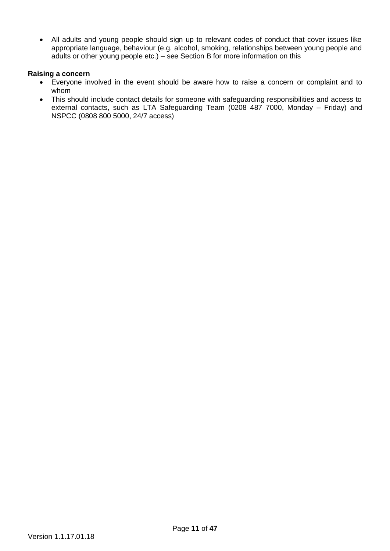• All adults and young people should sign up to relevant codes of conduct that cover issues like appropriate language, behaviour (e.g. alcohol, smoking, relationships between young people and adults or other young people etc.) – see Section B for more information on this

#### **Raising a concern**

- Everyone involved in the event should be aware how to raise a concern or complaint and to whom
- This should include contact details for someone with safeguarding responsibilities and access to external contacts, such as LTA Safeguarding Team (0208 487 7000, Monday – Friday) and NSPCC (0808 800 5000, 24/7 access)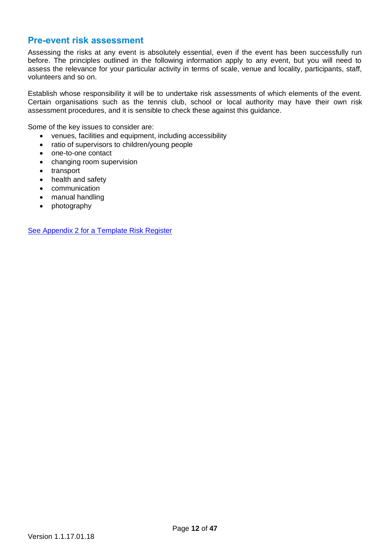## <span id="page-11-0"></span>**Pre-event risk assessment**

Assessing the risks at any event is absolutely essential, even if the event has been successfully run before. The principles outlined in the following information apply to any event, but you will need to assess the relevance for your particular activity in terms of scale, venue and locality, participants, staff, volunteers and so on.

Establish whose responsibility it will be to undertake risk assessments of which elements of the event. Certain organisations such as the tennis club, school or local authority may have their own risk assessment procedures, and it is sensible to check these against this guidance.

Some of the key issues to consider are:

- venues, facilities and equipment, including accessibility
- ratio of supervisors to children/young people
- one-to-one contact
- changing room supervision
- transport
- health and safety
- communication
- manual handling
- photography

[See Appendix 2 for a Template Risk Register](#page-36-0)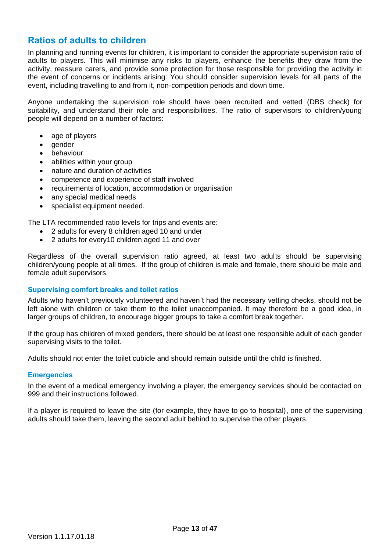## <span id="page-12-0"></span>**Ratios of adults to children**

In planning and running events for children, it is important to consider the appropriate supervision ratio of adults to players. This will minimise any risks to players, enhance the benefits they draw from the activity, reassure carers, and provide some protection for those responsible for providing the activity in the event of concerns or incidents arising. You should consider supervision levels for all parts of the event, including travelling to and from it, non-competition periods and down time.

Anyone undertaking the supervision role should have been recruited and vetted (DBS check) for suitability, and understand their role and responsibilities. The ratio of supervisors to children/young people will depend on a number of factors:

- age of players
- gender
- behaviour
- abilities within your group
- nature and duration of activities
- competence and experience of staff involved
- requirements of location, accommodation or organisation
- any special medical needs
- specialist equipment needed.

The LTA recommended ratio levels for trips and events are:

- 2 adults for every 8 children aged 10 and under
- 2 adults for every10 children aged 11 and over

Regardless of the overall supervision ratio agreed, at least two adults should be supervising children/young people at all times. If the group of children is male and female, there should be male and female adult supervisors.

#### <span id="page-12-1"></span>**Supervising comfort breaks and toilet ratios**

Adults who haven't previously volunteered and haven't had the necessary vetting checks, should not be left alone with children or take them to the toilet unaccompanied. It may therefore be a good idea, in larger groups of children, to encourage bigger groups to take a comfort break together.

If the group has children of mixed genders, there should be at least one responsible adult of each gender supervising visits to the toilet.

Adults should not enter the toilet cubicle and should remain outside until the child is finished.

#### <span id="page-12-2"></span>**Emergencies**

In the event of a medical emergency involving a player, the emergency services should be contacted on 999 and their instructions followed.

If a player is required to leave the site (for example, they have to go to hospital), one of the supervising adults should take them, leaving the second adult behind to supervise the other players.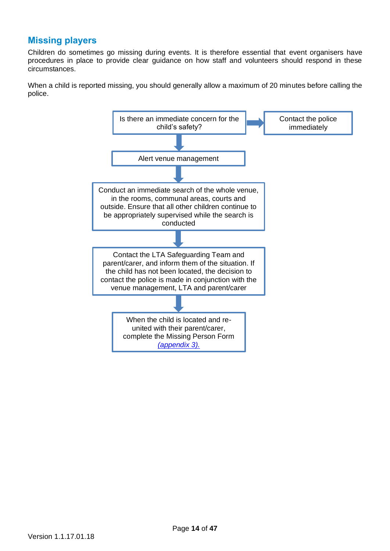## <span id="page-13-0"></span>**Missing players**

Children do sometimes go missing during events. It is therefore essential that event organisers have procedures in place to provide clear guidance on how staff and volunteers should respond in these circumstances.

When a child is reported missing, you should generally allow a maximum of 20 minutes before calling the police.

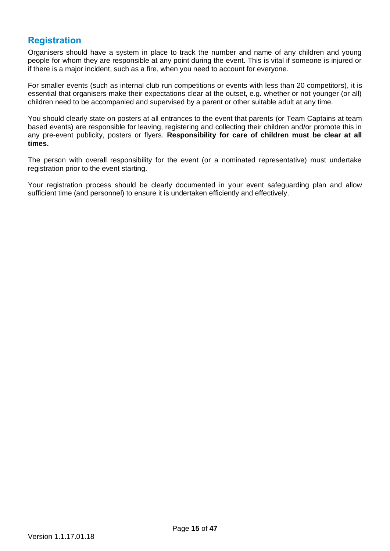## <span id="page-14-0"></span>**Registration**

Organisers should have a system in place to track the number and name of any children and young people for whom they are responsible at any point during the event. This is vital if someone is injured or if there is a major incident, such as a fire, when you need to account for everyone.

For smaller events (such as internal club run competitions or events with less than 20 competitors), it is essential that organisers make their expectations clear at the outset, e.g. whether or not younger (or all) children need to be accompanied and supervised by a parent or other suitable adult at any time.

You should clearly state on posters at all entrances to the event that parents (or Team Captains at team based events) are responsible for leaving, registering and collecting their children and/or promote this in any pre-event publicity, posters or flyers. **Responsibility for care of children must be clear at all times.**

The person with overall responsibility for the event (or a nominated representative) must undertake registration prior to the event starting.

Your registration process should be clearly documented in your event safeguarding plan and allow sufficient time (and personnel) to ensure it is undertaken efficiently and effectively.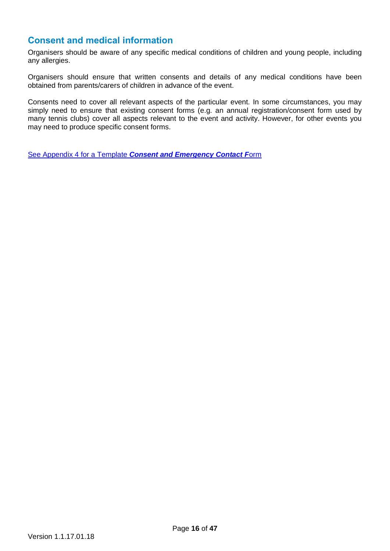## <span id="page-15-0"></span>**Consent and medical information**

Organisers should be aware of any specific medical conditions of children and young people, including any allergies.

Organisers should ensure that written consents and details of any medical conditions have been obtained from parents/carers of children in advance of the event.

Consents need to cover all relevant aspects of the particular event. In some circumstances, you may simply need to ensure that existing consent forms (e.g. an annual registration/consent form used by many tennis clubs) cover all aspects relevant to the event and activity. However, for other events you may need to produce specific consent forms.

See Appendix 4 for a Template *[Consent and Emergency Contact F](#page-40-0)*orm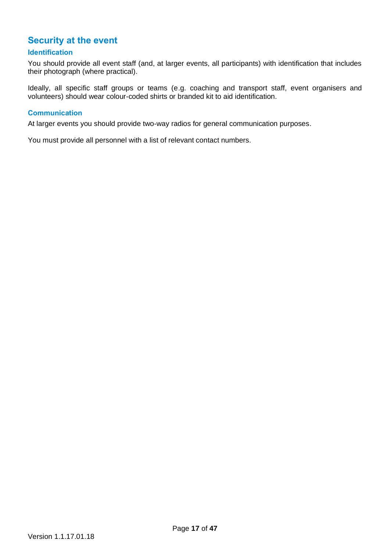## <span id="page-16-0"></span>**Security at the event**

### <span id="page-16-1"></span>**Identification**

You should provide all event staff (and, at larger events, all participants) with identification that includes their photograph (where practical).

Ideally, all specific staff groups or teams (e.g. coaching and transport staff, event organisers and volunteers) should wear colour-coded shirts or branded kit to aid identification.

#### <span id="page-16-2"></span>**Communication**

At larger events you should provide two-way radios for general communication purposes.

You must provide all personnel with a list of relevant contact numbers.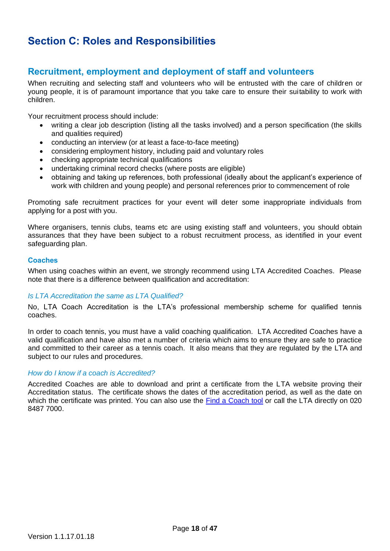# <span id="page-17-0"></span>**Section C: Roles and Responsibilities**

## <span id="page-17-1"></span>**Recruitment, employment and deployment of staff and volunteers**

When recruiting and selecting staff and volunteers who will be entrusted with the care of children or young people, it is of paramount importance that you take care to ensure their suitability to work with children.

Your recruitment process should include:

- writing a clear job description (listing all the tasks involved) and a person specification (the skills and qualities required)
- conducting an interview (or at least a face-to-face meeting)
- considering employment history, including paid and voluntary roles
- checking appropriate technical qualifications
- undertaking criminal record checks (where posts are eligible)
- obtaining and taking up references, both professional (ideally about the applicant's experience of work with children and young people) and personal references prior to commencement of role

Promoting safe recruitment practices for your event will deter some inappropriate individuals from applying for a post with you.

Where organisers, tennis clubs, teams etc are using existing staff and volunteers, you should obtain assurances that they have been subject to a robust recruitment process, as identified in your event safeguarding plan.

#### <span id="page-17-2"></span>**Coaches**

When using coaches within an event, we strongly recommend using LTA Accredited Coaches. Please note that there is a difference between qualification and accreditation:

#### *Is LTA Accreditation the same as LTA Qualified?*

No, LTA Coach Accreditation is the LTA's professional membership scheme for qualified tennis coaches.

In order to coach tennis, you must have a valid coaching qualification. LTA Accredited Coaches have a valid qualification and have also met a number of criteria which aims to ensure they are safe to practice and committed to their career as a tennis coach. It also means that they are regulated by the LTA and subject to our rules and procedures.

#### *How do I know if a coach is Accredited?*

Accredited Coaches are able to download and print a certificate from the LTA website proving their Accreditation status. The certificate shows the dates of the accreditation period, as well as the date on which the certificate was printed. You can also use the [Find a Coach tool](https://www.lta.org.uk/play/find-a-coach/) or call the LTA directly on 020 8487 7000.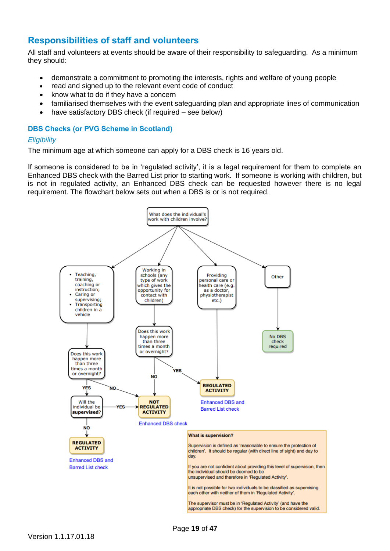## <span id="page-18-0"></span>**Responsibilities of staff and volunteers**

All staff and volunteers at events should be aware of their responsibility to safeguarding. As a minimum they should:

- demonstrate a commitment to promoting the interests, rights and welfare of young people
- read and signed up to the relevant event code of conduct
- know what to do if they have a concern
- familiarised themselves with the event safeguarding plan and appropriate lines of communication
- have satisfactory DBS check (if required see below)

### <span id="page-18-1"></span>**DBS Checks (or PVG Scheme in Scotland)**

### *Eligibility*

The minimum age at which someone can apply for a DBS check is 16 years old.

If someone is considered to be in 'regulated activity', it is a legal requirement for them to complete an Enhanced DBS check with the Barred List prior to starting work. If someone is working with children, but is not in regulated activity, an Enhanced DBS check can be requested however there is no legal requirement. The flowchart below sets out when a DBS is or is not required.

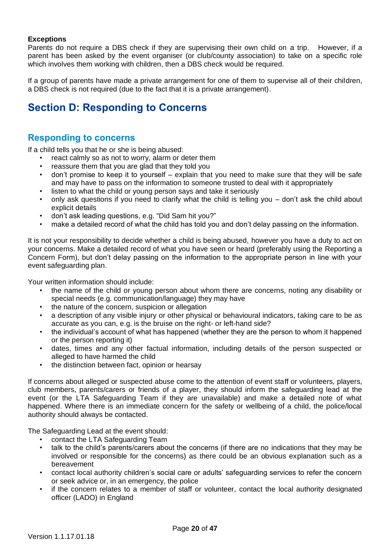### **Exceptions**

Parents do not require a DBS check if they are supervising their own child on a trip. However, if a parent has been asked by the event organiser (or club/county association) to take on a specific role which involves them working with children, then a DBS check would be required.

If a group of parents have made a private arrangement for one of them to supervise all of their children, a DBS check is not required (due to the fact that it is a private arrangement).

# <span id="page-19-0"></span>**Section D: Responding to Concerns**

## <span id="page-19-1"></span>**Responding to concerns**

If a child tells you that he or she is being abused:

- react calmly so as not to worry, alarm or deter them
- reassure them that you are glad that they told you
- don't promise to keep it to yourself explain that you need to make sure that they will be safe and may have to pass on the information to someone trusted to deal with it appropriately
- listen to what the child or young person says and take it seriously
- only ask questions if you need to clarify what the child is telling you don't ask the child about explicit details
- don't ask leading questions, e.g. "Did Sam hit you?"
- make a detailed record of what the child has told you and don't delay passing on the information.

It is not your responsibility to decide whether a child is being abused, however you have a duty to act on your concerns. Make a detailed record of what you have seen or heard (preferably using the Reporting a Concern Form), but don't delay passing on the information to the appropriate person in line with your event safeguarding plan.

Your written information should include:

- the name of the child or young person about whom there are concerns, noting any disability or special needs (e.g. communication/language) they may have
- the nature of the concern, suspicion or allegation
- a description of any visible injury or other physical or behavioural indicators, taking care to be as accurate as you can, e.g. is the bruise on the right- or left-hand side?
- the individual's account of what has happened (whether they are the person to whom it happened or the person reporting it)
- dates, times and any other factual information, including details of the person suspected or alleged to have harmed the child
- the distinction between fact, opinion or hearsay

If concerns about alleged or suspected abuse come to the attention of event staff or volunteers, players, club members, parents/carers or friends of a player, they should inform the safeguarding lead at the event (or the LTA Safeguarding Team if they are unavailable) and make a detailed note of what happened. Where there is an immediate concern for the safety or wellbeing of a child, the police/local authority should always be contacted.

The Safeguarding Lead at the event should:

- contact the LTA Safeguarding Team
- talk to the child's parents/carers about the concerns (if there are no indications that they may be involved or responsible for the concerns) as there could be an obvious explanation such as a bereavement
- contact local authority children's social care or adults' safeguarding services to refer the concern or seek advice or, in an emergency, the police
- if the concern relates to a member of staff or volunteer, contact the local authority designated officer (LADO) in England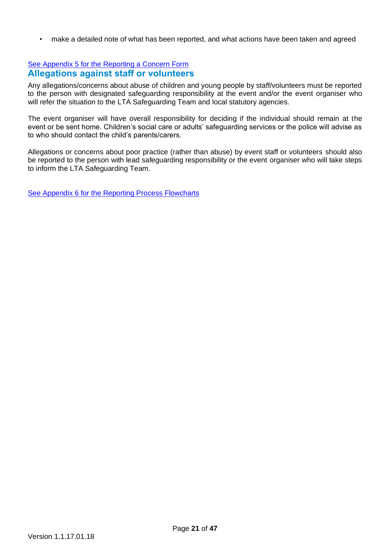• make a detailed note of what has been reported, and what actions have been taken and agreed

### <span id="page-20-0"></span>[See Appendix 5 for the Reporting a Concern Form](#page-42-0) **Allegations against staff or volunteers**

Any allegations/concerns about abuse of children and young people by staff/volunteers must be reported to the person with designated safeguarding responsibility at the event and/or the event organiser who will refer the situation to the LTA Safeguarding Team and local statutory agencies.

The event organiser will have overall responsibility for deciding if the individual should remain at the event or be sent home. Children's social care or adults' safeguarding services or the police will advise as to who should contact the child's parents/carers.

Allegations or concerns about poor practice (rather than abuse) by event staff or volunteers should also be reported to the person with lead safeguarding responsibility or the event organiser who will take steps to inform the LTA Safeguarding Team.

[See Appendix 6 for the Reporting Process Flowcharts](#page-45-0)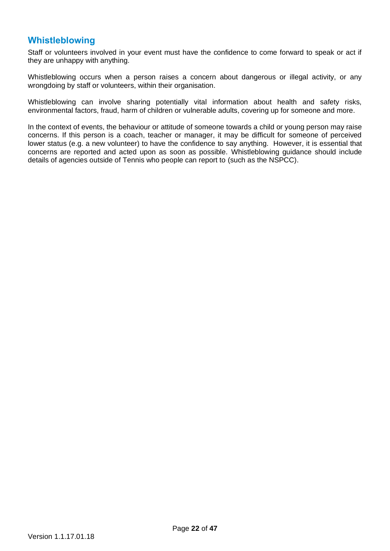## <span id="page-21-0"></span>**Whistleblowing**

Staff or volunteers involved in your event must have the confidence to come forward to speak or act if they are unhappy with anything.

Whistleblowing occurs when a person raises a concern about dangerous or illegal activity, or any wrongdoing by staff or volunteers, within their organisation.

Whistleblowing can involve sharing potentially vital information about health and safety risks, environmental factors, fraud, harm of children or vulnerable adults, covering up for someone and more.

In the context of events, the behaviour or attitude of someone towards a child or young person may raise concerns. If this person is a coach, teacher or manager, it may be difficult for someone of perceived lower status (e.g. a new volunteer) to have the confidence to say anything. However, it is essential that concerns are reported and acted upon as soon as possible. Whistleblowing guidance should include details of agencies outside of Tennis who people can report to (such as the NSPCC).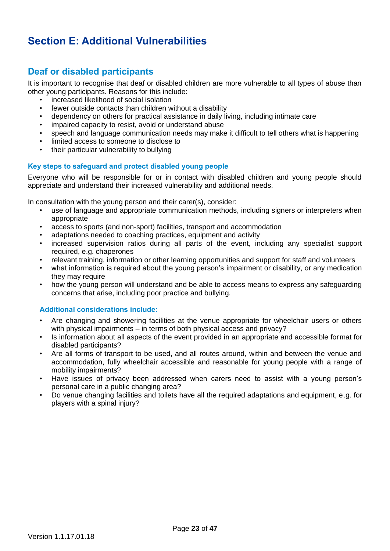# <span id="page-22-0"></span>**Section E: Additional Vulnerabilities**

## <span id="page-22-1"></span>**Deaf or disabled participants**

It is important to recognise that deaf or disabled children are more vulnerable to all types of abuse than other young participants. Reasons for this include:

- increased likelihood of social isolation
- fewer outside contacts than children without a disability
- dependency on others for practical assistance in daily living, including intimate care
- impaired capacity to resist, avoid or understand abuse
- speech and language communication needs may make it difficult to tell others what is happening
- limited access to someone to disclose to
- their particular vulnerability to bullying

#### <span id="page-22-2"></span>**Key steps to safeguard and protect disabled young people**

Everyone who will be responsible for or in contact with disabled children and young people should appreciate and understand their increased vulnerability and additional needs.

In consultation with the young person and their carer(s), consider:

- use of language and appropriate communication methods, including signers or interpreters when appropriate
- access to sports (and non-sport) facilities, transport and accommodation
- adaptations needed to coaching practices, equipment and activity
- increased supervision ratios during all parts of the event, including any specialist support required, e.g. chaperones
- relevant training, information or other learning opportunities and support for staff and volunteers
- what information is required about the young person's impairment or disability, or any medication they may require
- how the young person will understand and be able to access means to express any safeguarding concerns that arise, including poor practice and bullying.

### <span id="page-22-3"></span>**Additional considerations include:**

- Are changing and showering facilities at the venue appropriate for wheelchair users or others with physical impairments – in terms of both physical access and privacy?
- Is information about all aspects of the event provided in an appropriate and accessible format for disabled participants?
- Are all forms of transport to be used, and all routes around, within and between the venue and accommodation, fully wheelchair accessible and reasonable for young people with a range of mobility impairments?
- Have issues of privacy been addressed when carers need to assist with a young person's personal care in a public changing area?
- Do venue changing facilities and toilets have all the required adaptations and equipment, e.g. for players with a spinal injury?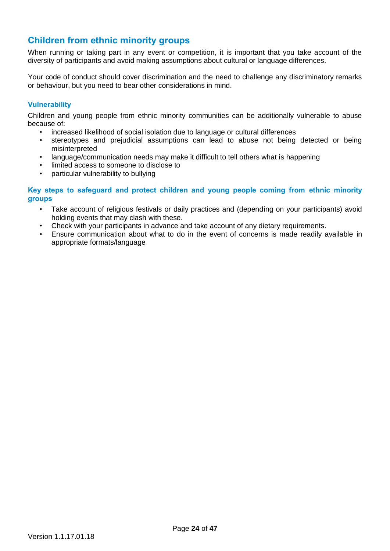## <span id="page-23-0"></span>**Children from ethnic minority groups**

When running or taking part in any event or competition, it is important that you take account of the diversity of participants and avoid making assumptions about cultural or language differences.

Your code of conduct should cover discrimination and the need to challenge any discriminatory remarks or behaviour, but you need to bear other considerations in mind.

### <span id="page-23-1"></span>**Vulnerability**

Children and young people from ethnic minority communities can be additionally vulnerable to abuse because of:

- increased likelihood of social isolation due to language or cultural differences
- stereotypes and prejudicial assumptions can lead to abuse not being detected or being misinterpreted
- language/communication needs may make it difficult to tell others what is happening
- limited access to someone to disclose to
- particular vulnerability to bullying

### <span id="page-23-2"></span>**Key steps to safeguard and protect children and young people coming from ethnic minority groups**

- Take account of religious festivals or daily practices and (depending on your participants) avoid holding events that may clash with these.
- Check with your participants in advance and take account of any dietary requirements.
- Ensure communication about what to do in the event of concerns is made readily available in appropriate formats/language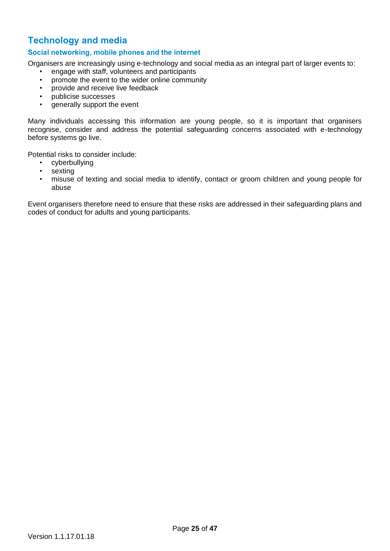## <span id="page-24-0"></span>**Technology and media**

### <span id="page-24-1"></span>**Social networking, mobile phones and the internet**

Organisers are increasingly using e-technology and social media as an integral part of larger events to:

- engage with staff, volunteers and participants
- promote the event to the wider online community
- provide and receive live feedback
- publicise successes
- generally support the event

Many individuals accessing this information are young people, so it is important that organisers recognise, consider and address the potential safeguarding concerns associated with e-technology before systems go live.

Potential risks to consider include:

- cyberbullying
- sexting
- misuse of texting and social media to identify, contact or groom children and young people for abuse

Event organisers therefore need to ensure that these risks are addressed in their safeguarding plans and codes of conduct for adults and young participants.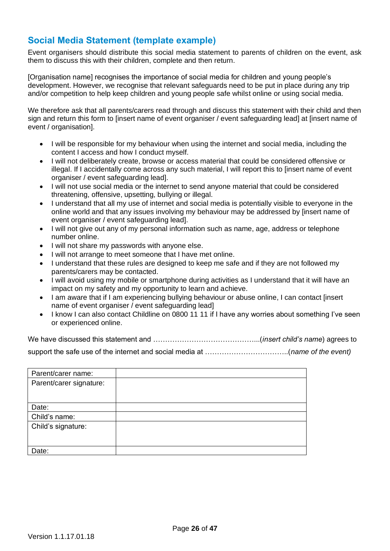## <span id="page-25-0"></span>**Social Media Statement (template example)**

Event organisers should distribute this social media statement to parents of children on the event, ask them to discuss this with their children, complete and then return.

[Organisation name] recognises the importance of social media for children and young people's development. However, we recognise that relevant safeguards need to be put in place during any trip and/or competition to help keep children and young people safe whilst online or using social media.

We therefore ask that all parents/carers read through and discuss this statement with their child and then sign and return this form to [insert name of event organiser / event safeguarding lead] at [insert name of event / organisation].

- I will be responsible for my behaviour when using the internet and social media, including the content I access and how I conduct myself.
- I will not deliberately create, browse or access material that could be considered offensive or illegal. If I accidentally come across any such material, I will report this to [insert name of event organiser / event safeguarding lead].
- I will not use social media or the internet to send anyone material that could be considered threatening, offensive, upsetting, bullying or illegal.
- I understand that all my use of internet and social media is potentially visible to everyone in the online world and that any issues involving my behaviour may be addressed by [insert name of event organiser / event safeguarding lead].
- I will not give out any of my personal information such as name, age, address or telephone number online.
- I will not share my passwords with anyone else.
- I will not arrange to meet someone that I have met online.
- I understand that these rules are designed to keep me safe and if they are not followed my parents/carers may be contacted.
- I will avoid using my mobile or smartphone during activities as I understand that it will have an impact on my safety and my opportunity to learn and achieve.
- I am aware that if I am experiencing bullying behaviour or abuse online, I can contact linsert name of event organiser / event safeguarding lead]
- I know I can also contact Childline on 0800 11 11 if I have any worries about something I've seen or experienced online.

We have discussed this statement and ……………………………………...(*insert child's name*) agrees to support the safe use of the internet and social media at ……………………………..(*name of the event)*

| Parent/carer name:      |  |
|-------------------------|--|
| Parent/carer signature: |  |
|                         |  |
|                         |  |
| Date:                   |  |
| Child's name:           |  |
| Child's signature:      |  |
|                         |  |
|                         |  |
| Date:                   |  |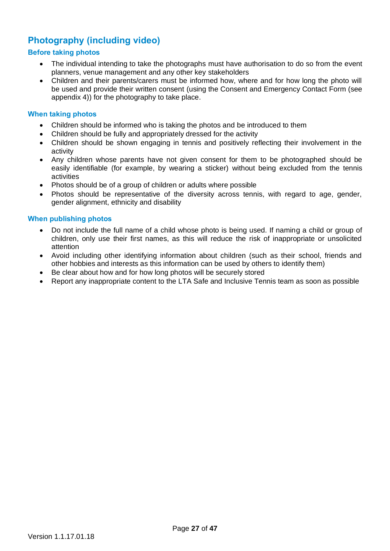## <span id="page-26-0"></span>**Photography (including video)**

### <span id="page-26-1"></span>**Before taking photos**

- The individual intending to take the photographs must have authorisation to do so from the event planners, venue management and any other key stakeholders
- Children and their parents/carers must be informed how, where and for how long the photo will be used and provide their written consent (using the Consent and Emergency Contact Form (see appendix 4)) for the photography to take place.

#### <span id="page-26-2"></span>**When taking photos**

- Children should be informed who is taking the photos and be introduced to them
- Children should be fully and appropriately dressed for the activity
- Children should be shown engaging in tennis and positively reflecting their involvement in the activity
- Any children whose parents have not given consent for them to be photographed should be easily identifiable (for example, by wearing a sticker) without being excluded from the tennis activities
- Photos should be of a group of children or adults where possible
- Photos should be representative of the diversity across tennis, with regard to age, gender, gender alignment, ethnicity and disability

#### <span id="page-26-3"></span>**When publishing photos**

- Do not include the full name of a child whose photo is being used. If naming a child or group of children, only use their first names, as this will reduce the risk of inappropriate or unsolicited attention
- Avoid including other identifying information about children (such as their school, friends and other hobbies and interests as this information can be used by others to identify them)
- Be clear about how and for how long photos will be securely stored
- Report any inappropriate content to the LTA Safe and Inclusive Tennis team as soon as possible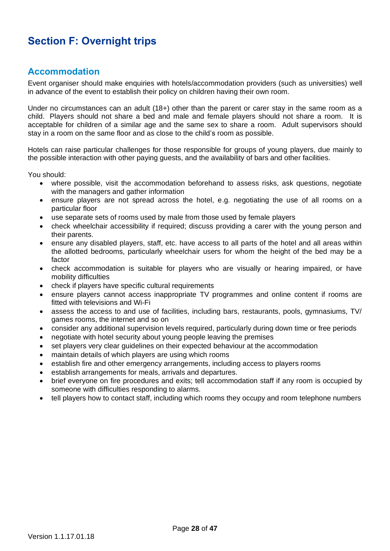# <span id="page-27-0"></span>**Section F: Overnight trips**

## <span id="page-27-1"></span>**Accommodation**

Event organiser should make enquiries with hotels/accommodation providers (such as universities) well in advance of the event to establish their policy on children having their own room.

Under no circumstances can an adult (18+) other than the parent or carer stay in the same room as a child. Players should not share a bed and male and female players should not share a room. It is acceptable for children of a similar age and the same sex to share a room. Adult supervisors should stay in a room on the same floor and as close to the child's room as possible.

Hotels can raise particular challenges for those responsible for groups of young players, due mainly to the possible interaction with other paying guests, and the availability of bars and other facilities.

You should:

- where possible, visit the accommodation beforehand to assess risks, ask questions, negotiate with the managers and gather information
- ensure players are not spread across the hotel, e.g. negotiating the use of all rooms on a particular floor
- use separate sets of rooms used by male from those used by female players
- check wheelchair accessibility if required; discuss providing a carer with the young person and their parents.
- ensure any disabled players, staff, etc. have access to all parts of the hotel and all areas within the allotted bedrooms, particularly wheelchair users for whom the height of the bed may be a factor
- check accommodation is suitable for players who are visually or hearing impaired, or have mobility difficulties
- check if players have specific cultural requirements
- ensure players cannot access inappropriate TV programmes and online content if rooms are fitted with televisions and Wi-Fi
- assess the access to and use of facilities, including bars, restaurants, pools, gymnasiums, TV/ games rooms, the internet and so on
- consider any additional supervision levels required, particularly during down time or free periods
- negotiate with hotel security about young people leaving the premises
- set players very clear guidelines on their expected behaviour at the accommodation
- maintain details of which players are using which rooms
- establish fire and other emergency arrangements, including access to players rooms
- establish arrangements for meals, arrivals and departures.
- brief everyone on fire procedures and exits; tell accommodation staff if any room is occupied by someone with difficulties responding to alarms.
- tell players how to contact staff, including which rooms they occupy and room telephone numbers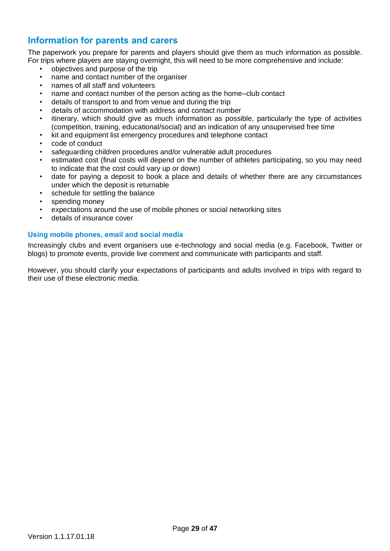## <span id="page-28-0"></span>**Information for parents and carers**

The paperwork you prepare for parents and players should give them as much information as possible. For trips where players are staying overnight, this will need to be more comprehensive and include:

- objectives and purpose of the trip
- name and contact number of the organiser
- names of all staff and volunteers
- name and contact number of the person acting as the home–club contact
- details of transport to and from venue and during the trip
- details of accommodation with address and contact number
- itinerary, which should give as much information as possible, particularly the type of activities (competition, training, educational/social) and an indication of any unsupervised free time
- kit and equipment list emergency procedures and telephone contact
- code of conduct
- safeguarding children procedures and/or vulnerable adult procedures
- estimated cost (final costs will depend on the number of athletes participating, so you may need to indicate that the cost could vary up or down)
- date for paying a deposit to book a place and details of whether there are any circumstances under which the deposit is returnable
- schedule for settling the balance
- spending money
- expectations around the use of mobile phones or social networking sites
- details of insurance cover

### <span id="page-28-1"></span>**Using mobile phones, email and social media**

Increasingly clubs and event organisers use e-technology and social media (e.g. Facebook, Twitter or blogs) to promote events, provide live comment and communicate with participants and staff.

However, you should clarify your expectations of participants and adults involved in trips with regard to their use of these electronic media.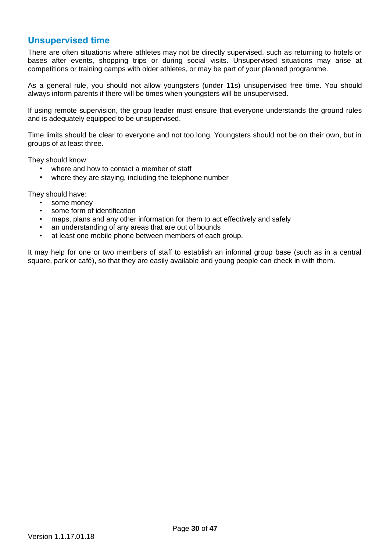## <span id="page-29-0"></span>**Unsupervised time**

There are often situations where athletes may not be directly supervised, such as returning to hotels or bases after events, shopping trips or during social visits. Unsupervised situations may arise at competitions or training camps with older athletes, or may be part of your planned programme.

As a general rule, you should not allow youngsters (under 11s) unsupervised free time. You should always inform parents if there will be times when youngsters will be unsupervised.

If using remote supervision, the group leader must ensure that everyone understands the ground rules and is adequately equipped to be unsupervised.

Time limits should be clear to everyone and not too long. Youngsters should not be on their own, but in groups of at least three.

They should know:

- where and how to contact a member of staff
- where they are staying, including the telephone number

They should have:

- some money
- some form of identification
- maps, plans and any other information for them to act effectively and safely
- an understanding of any areas that are out of bounds
- at least one mobile phone between members of each group.

It may help for one or two members of staff to establish an informal group base (such as in a central square, park or café), so that they are easily available and young people can check in with them.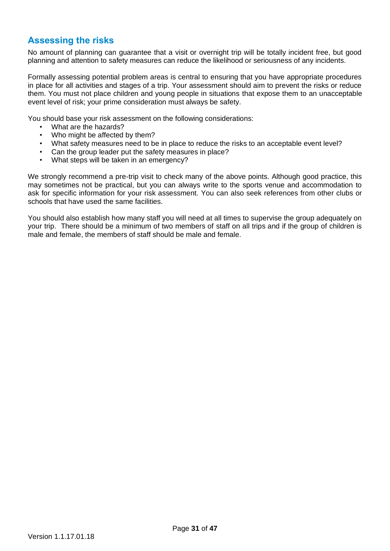## <span id="page-30-0"></span>**Assessing the risks**

No amount of planning can guarantee that a visit or overnight trip will be totally incident free, but good planning and attention to safety measures can reduce the likelihood or seriousness of any incidents.

Formally assessing potential problem areas is central to ensuring that you have appropriate procedures in place for all activities and stages of a trip. Your assessment should aim to prevent the risks or reduce them. You must not place children and young people in situations that expose them to an unacceptable event level of risk; your prime consideration must always be safety.

You should base your risk assessment on the following considerations:

- What are the hazards?
- Who might be affected by them?
- What safety measures need to be in place to reduce the risks to an acceptable event level?
- Can the group leader put the safety measures in place?
- What steps will be taken in an emergency?

We strongly recommend a pre-trip visit to check many of the above points. Although good practice, this may sometimes not be practical, but you can always write to the sports venue and accommodation to ask for specific information for your risk assessment. You can also seek references from other clubs or schools that have used the same facilities.

You should also establish how many staff you will need at all times to supervise the group adequately on your trip. There should be a minimum of two members of staff on all trips and if the group of children is male and female, the members of staff should be male and female.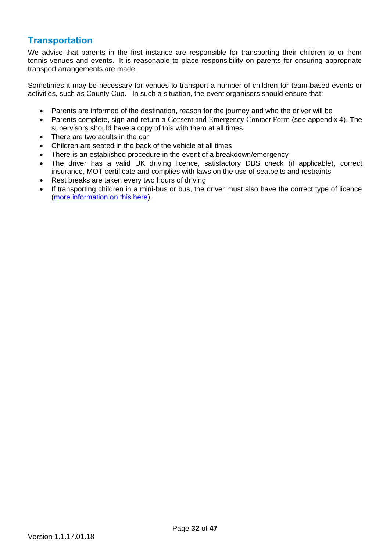## <span id="page-31-0"></span>**Transportation**

We advise that parents in the first instance are responsible for transporting their children to or from tennis venues and events. It is reasonable to place responsibility on parents for ensuring appropriate transport arrangements are made.

Sometimes it may be necessary for venues to transport a number of children for team based events or activities, such as County Cup. In such a situation, the event organisers should ensure that:

- Parents are informed of the destination, reason for the journey and who the driver will be
- Parents complete, sign and return a Consent and Emergency Contact Form (see appendix 4). The supervisors should have a copy of this with them at all times
- There are two adults in the car
- Children are seated in the back of the vehicle at all times
- There is an established procedure in the event of a breakdown/emergency
- The driver has a valid UK driving licence, satisfactory DBS check (if applicable), correct insurance, MOT certificate and complies with laws on the use of seatbelts and restraints
- Rest breaks are taken every two hours of driving
- If transporting children in a mini-bus or bus, the driver must also have the correct type of licence [\(more information](http://www.perkins-slade.com/insurance-blog/2015/03/10/minibuses-are-you-driving-legally/) on this here).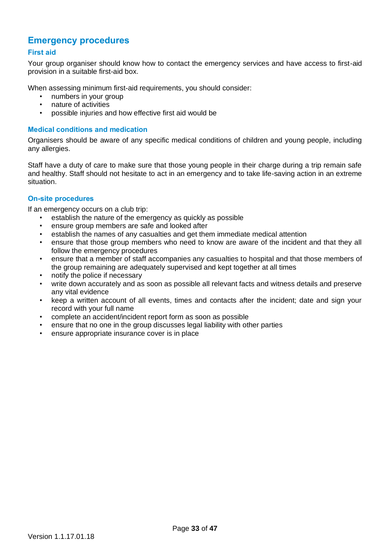## <span id="page-32-0"></span>**Emergency procedures**

### <span id="page-32-1"></span>**First aid**

Your group organiser should know how to contact the emergency services and have access to first-aid provision in a suitable first-aid box.

When assessing minimum first-aid requirements, you should consider:

- numbers in your group
- nature of activities
- possible injuries and how effective first aid would be

### <span id="page-32-2"></span>**Medical conditions and medication**

Organisers should be aware of any specific medical conditions of children and young people, including any allergies.

Staff have a duty of care to make sure that those young people in their charge during a trip remain safe and healthy. Staff should not hesitate to act in an emergency and to take life-saving action in an extreme situation.

### <span id="page-32-3"></span>**On-site procedures**

If an emergency occurs on a club trip:

- establish the nature of the emergency as quickly as possible
- ensure group members are safe and looked after
- establish the names of any casualties and get them immediate medical attention
- ensure that those group members who need to know are aware of the incident and that they all follow the emergency procedures
- ensure that a member of staff accompanies any casualties to hospital and that those members of the group remaining are adequately supervised and kept together at all times
- notify the police if necessary
- write down accurately and as soon as possible all relevant facts and witness details and preserve any vital evidence
- keep a written account of all events, times and contacts after the incident; date and sign your record with your full name
- complete an accident/incident report form as soon as possible
- ensure that no one in the group discusses legal liability with other parties
- ensure appropriate insurance cover is in place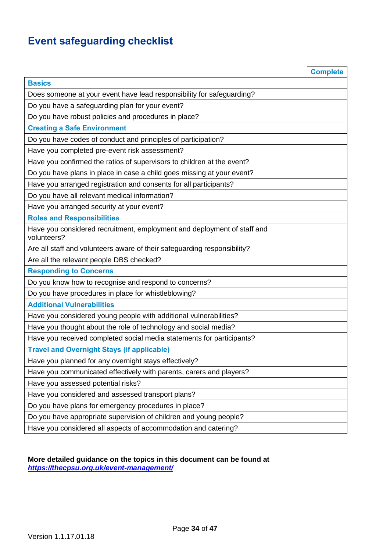# <span id="page-33-1"></span><span id="page-33-0"></span>**Event safeguarding checklist**

<span id="page-33-4"></span><span id="page-33-3"></span><span id="page-33-2"></span>

|                                                                                        | <b>Complete</b> |
|----------------------------------------------------------------------------------------|-----------------|
| <b>Basics</b>                                                                          |                 |
| Does someone at your event have lead responsibility for safeguarding?                  |                 |
| Do you have a safeguarding plan for your event?                                        |                 |
| Do you have robust policies and procedures in place?                                   |                 |
| <b>Creating a Safe Environment</b>                                                     |                 |
| Do you have codes of conduct and principles of participation?                          |                 |
| Have you completed pre-event risk assessment?                                          |                 |
| Have you confirmed the ratios of supervisors to children at the event?                 |                 |
| Do you have plans in place in case a child goes missing at your event?                 |                 |
| Have you arranged registration and consents for all participants?                      |                 |
| Do you have all relevant medical information?                                          |                 |
| Have you arranged security at your event?                                              |                 |
| <b>Roles and Responsibilities</b>                                                      |                 |
| Have you considered recruitment, employment and deployment of staff and<br>volunteers? |                 |
| Are all staff and volunteers aware of their safeguarding responsibility?               |                 |
| Are all the relevant people DBS checked?                                               |                 |
| <b>Responding to Concerns</b>                                                          |                 |
| Do you know how to recognise and respond to concerns?                                  |                 |
| Do you have procedures in place for whistleblowing?                                    |                 |
| <b>Additional Vulnerabilities</b>                                                      |                 |
| Have you considered young people with additional vulnerabilities?                      |                 |
| Have you thought about the role of technology and social media?                        |                 |
| Have you received completed social media statements for participants?                  |                 |
| <b>Travel and Overnight Stays (if applicable)</b>                                      |                 |
| Have you planned for any overnight stays effectively?                                  |                 |
| Have you communicated effectively with parents, carers and players?                    |                 |
| Have you assessed potential risks?                                                     |                 |
| Have you considered and assessed transport plans?                                      |                 |
| Do you have plans for emergency procedures in place?                                   |                 |
| Do you have appropriate supervision of children and young people?                      |                 |
| Have you considered all aspects of accommodation and catering?                         |                 |

### <span id="page-33-7"></span><span id="page-33-6"></span><span id="page-33-5"></span>**More detailed guidance on the topics in this document can be found at**  *<https://thecpsu.org.uk/event-management/>*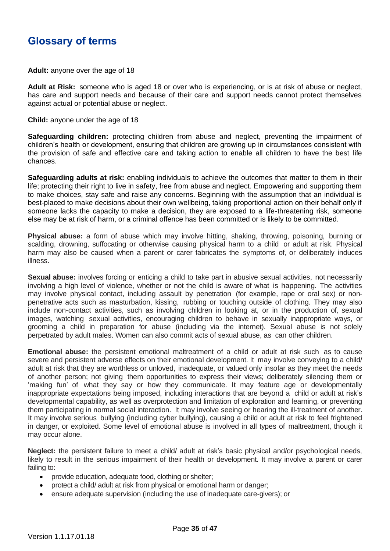# <span id="page-34-0"></span>**Glossary of terms**

**Adult:** anyone over the age of 18

**Adult at Risk:** someone who is aged 18 or over who is experiencing, or is at risk of abuse or neglect, has care and support needs and because of their care and support needs cannot protect themselves against actual or potential abuse or neglect.

**Child:** anyone under the age of 18

**Safeguarding children:** protecting children from abuse and neglect, preventing the impairment of children's health or development, ensuring that children are growing up in circumstances consistent with the provision of safe and effective care and taking action to enable all children to have the best life chances.

**Safeguarding adults at risk:** enabling individuals to achieve the outcomes that matter to them in their life; protecting their right to live in safety, free from abuse and neglect. Empowering and supporting them to make choices, stay safe and raise any concerns. Beginning with the assumption that an individual is best-placed to make decisions about their own wellbeing, taking proportional action on their behalf only if someone lacks the capacity to make a decision, they are exposed to a life-threatening risk, someone else may be at risk of harm, or a criminal offence has been committed or is likely to be committed.

**Physical abuse:** a form of abuse which may involve hitting, shaking, throwing, poisoning, burning or scalding, drowning, suffocating or otherwise causing physical harm to a child or adult at risk. Physical harm may also be caused when a parent or carer fabricates the symptoms of, or deliberately induces illness.

**Sexual abuse:** involves forcing or enticing a child to take part in abusive sexual activities, not necessarily involving a high level of violence, whether or not the child is aware of what is happening. The activities may involve physical contact, including assault by penetration (for example, rape or oral sex) or nonpenetrative acts such as masturbation, kissing, rubbing or touching outside of clothing. They may also include non-contact activities, such as involving children in looking at, or in the production of, sexual images, watching sexual activities, encouraging children to behave in sexually inappropriate ways, or grooming a child in preparation for abuse (including via the internet). Sexual abuse is not solely perpetrated by adult males. Women can also commit acts of sexual abuse, as can other children.

**Emotional abuse:** the persistent emotional maltreatment of a child or adult at risk such as to cause severe and persistent adverse effects on their emotional development. It may involve conveying to a child/ adult at risk that they are worthless or unloved, inadequate, or valued only insofar as they meet the needs of another person; not giving them opportunities to express their views; deliberately silencing them or 'making fun' of what they say or how they communicate. It may feature age or developmentally inappropriate expectations being imposed, including interactions that are beyond a child or adult at risk's developmental capability, as well as overprotection and limitation of exploration and learning, or preventing them participating in normal social interaction. It may involve seeing or hearing the ill-treatment of another. It may involve serious bullying (including cyber bullying), causing a child or adult at risk to feel frightened in danger, or exploited. Some level of emotional abuse is involved in all types of maltreatment, though it may occur alone.

**Neglect:** the persistent failure to meet a child/ adult at risk's basic physical and/or psychological needs, likely to result in the serious impairment of their health or development. It may involve a parent or carer failing to:

- provide education, adequate food, clothing or shelter;
- protect a child/ adult at risk from physical or emotional harm or danger;
- ensure adequate supervision (including the use of inadequate care-givers); or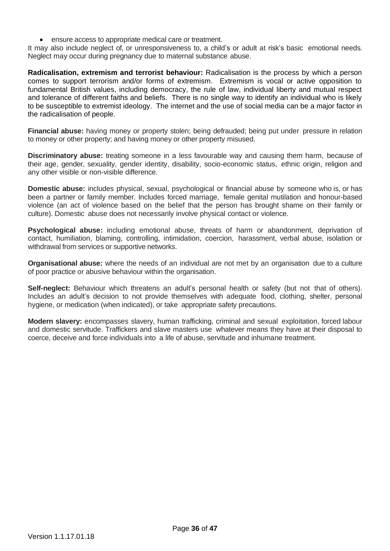• ensure access to appropriate medical care or treatment.

It may also include neglect of, or unresponsiveness to, a child's or adult at risk's basic emotional needs. Neglect may occur during pregnancy due to maternal substance abuse.

**Radicalisation, extremism and terrorist behaviour:** Radicalisation is the process by which a person comes to support terrorism and/or forms of extremism. Extremism is vocal or active opposition to fundamental British values, including democracy, the rule of law, individual liberty and mutual respect and tolerance of different faiths and beliefs. There is no single way to identify an individual who is likely to be susceptible to extremist ideology. The internet and the use of social media can be a major factor in the radicalisation of people.

**Financial abuse:** having money or property stolen; being defrauded; being put under pressure in relation to money or other property; and having money or other property misused.

**Discriminatory abuse:** treating someone in a less favourable way and causing them harm, because of their age, gender, sexuality, gender identity, disability, socio-economic status, ethnic origin, religion and any other visible or non-visible difference.

**Domestic abuse:** includes physical, sexual, psychological or financial abuse by someone who is, or has been a partner or family member. Includes forced marriage, female genital mutilation and honour-based violence (an act of violence based on the belief that the person has brought shame on their family or culture). Domestic abuse does not necessarily involve physical contact or violence.

**Psychological abuse:** including emotional abuse, threats of harm or abandonment, deprivation of contact, humiliation, blaming, controlling, intimidation, coercion, harassment, verbal abuse, isolation or withdrawal from services or supportive networks.

**Organisational abuse:** where the needs of an individual are not met by an organisation due to a culture of poor practice or abusive behaviour within the organisation.

**Self-neglect:** Behaviour which threatens an adult's personal health or safety (but not that of others). Includes an adult's decision to not provide themselves with adequate food, clothing, shelter, personal hygiene, or medication (when indicated), or take appropriate safety precautions.

**Modern slavery:** encompasses slavery, human trafficking, criminal and sexual exploitation, forced labour and domestic servitude. Traffickers and slave masters use whatever means they have at their disposal to coerce, deceive and force individuals into a life of abuse, servitude and inhumane treatment.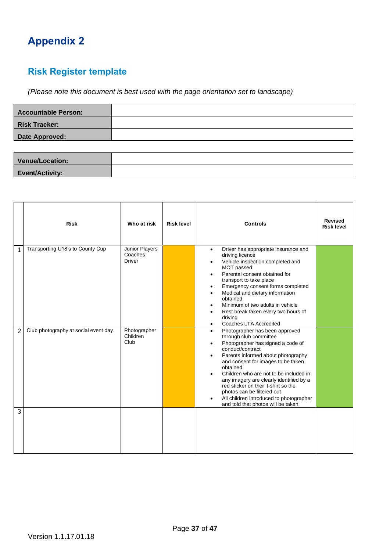# <span id="page-36-0"></span>**Appendix 2**

# **Risk Register template**

*(Please note this document is best used with the page orientation set to landscape)*

| <b>Accountable Person:</b> |  |
|----------------------------|--|
| <b>Risk Tracker:</b>       |  |
| Date Approved:             |  |
|                            |  |

| Venue/Location:        |  |
|------------------------|--|
| <b>Event/Activity:</b> |  |

|                | <b>Risk</b>                          | Who at risk                                | <b>Risk level</b> | <b>Controls</b>                                                                                                                                                                                                                                                                                                                                                                                                                                                                                                       | <b>Revised</b><br><b>Risk level</b> |
|----------------|--------------------------------------|--------------------------------------------|-------------------|-----------------------------------------------------------------------------------------------------------------------------------------------------------------------------------------------------------------------------------------------------------------------------------------------------------------------------------------------------------------------------------------------------------------------------------------------------------------------------------------------------------------------|-------------------------------------|
| 1              | Transporting U18's to County Cup     | Junior Players<br>Coaches<br><b>Driver</b> |                   | Driver has appropriate insurance and<br>$\bullet$<br>driving licence<br>Vehicle inspection completed and<br>$\bullet$<br>MOT passed<br>Parental consent obtained for<br>$\bullet$<br>transport to take place<br>Emergency consent forms completed<br>$\bullet$<br>Medical and dietary information<br>$\bullet$<br>obtained<br>Minimum of two adults in vehicle<br>$\bullet$<br>Rest break taken every two hours of<br>$\bullet$<br>driving<br>Coaches LTA Accredited<br>$\bullet$                                     |                                     |
| $\overline{2}$ | Club photography at social event day | Photographer<br>Children<br>Club           |                   | Photographer has been approved<br>$\bullet$<br>through club committee<br>Photographer has signed a code of<br>$\bullet$<br>conduct/contract<br>Parents informed about photography<br>$\bullet$<br>and consent for images to be taken<br>obtained<br>Children who are not to be included in<br>$\bullet$<br>any imagery are clearly identified by a<br>red sticker on their t-shirt so the<br>photos can be filtered out<br>All children introduced to photographer<br>$\bullet$<br>and told that photos will be taken |                                     |
| 3              |                                      |                                            |                   |                                                                                                                                                                                                                                                                                                                                                                                                                                                                                                                       |                                     |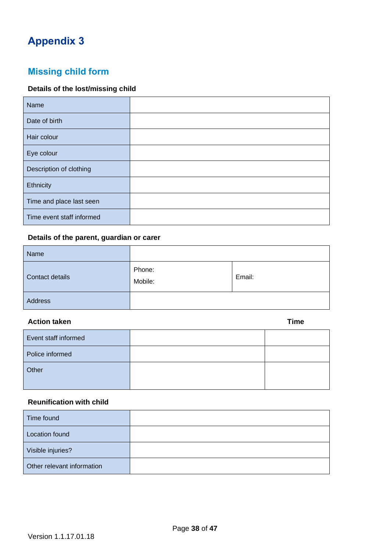# <span id="page-37-0"></span>**Appendix 3**

# **Missing child form**

## **Details of the lost/missing child**

| Name                      |  |
|---------------------------|--|
| Date of birth             |  |
| Hair colour               |  |
| Eye colour                |  |
| Description of clothing   |  |
| Ethnicity                 |  |
| Time and place last seen  |  |
| Time event staff informed |  |

## **Details of the parent, guardian or carer**

| Name            |                   |        |
|-----------------|-------------------|--------|
| Contact details | Phone:<br>Mobile: | Email: |
| Address         |                   |        |

### **Action taken Time**

| Event staff informed |  |
|----------------------|--|
| Police informed      |  |
| Other                |  |

## **Reunification with child**

| Time found                 |  |
|----------------------------|--|
| Location found             |  |
| Visible injuries?          |  |
| Other relevant information |  |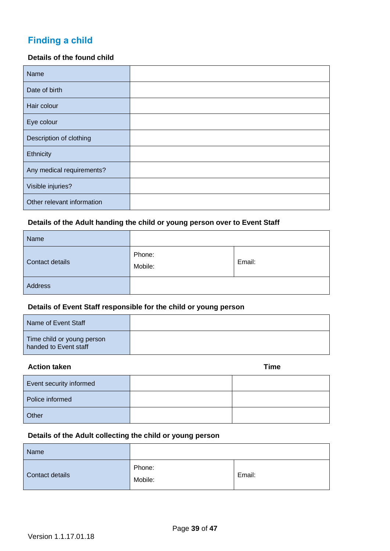# **Finding a child**

### **Details of the found child**

| Name                       |  |
|----------------------------|--|
| Date of birth              |  |
| Hair colour                |  |
| Eye colour                 |  |
| Description of clothing    |  |
| Ethnicity                  |  |
| Any medical requirements?  |  |
| Visible injuries?          |  |
| Other relevant information |  |

### **Details of the Adult handing the child or young person over to Event Staff**

| Name            |                   |        |
|-----------------|-------------------|--------|
| Contact details | Phone:<br>Mobile: | Email: |
| Address         |                   |        |

## **Details of Event Staff responsible for the child or young person**

| Name of Event Staff                                 |  |
|-----------------------------------------------------|--|
| Time child or young person<br>handed to Event staff |  |

### **Action taken Time**

| Event security informed |  |
|-------------------------|--|
| Police informed         |  |
| Other                   |  |

## **Details of the Adult collecting the child or young person**

| Name            |                   |        |
|-----------------|-------------------|--------|
| Contact details | Phone:<br>Mobile: | Email: |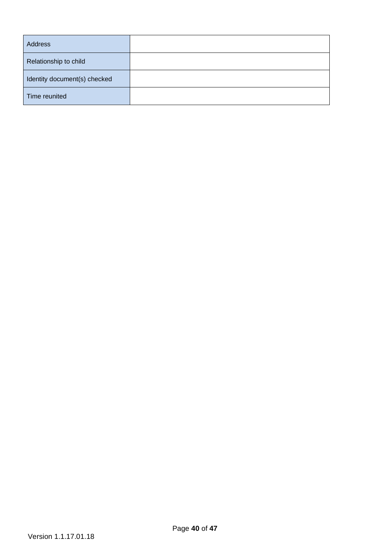| Address                      |  |
|------------------------------|--|
| Relationship to child        |  |
| Identity document(s) checked |  |
| Time reunited                |  |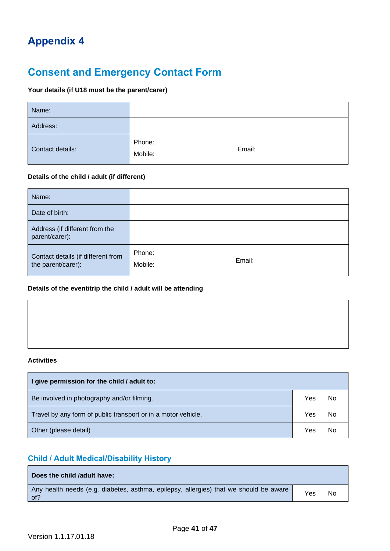# <span id="page-40-0"></span>**Appendix 4**

# **Consent and Emergency Contact Form**

## **Your details (if U18 must be the parent/carer)**

| Name:            |                   |        |
|------------------|-------------------|--------|
| Address:         |                   |        |
| Contact details: | Phone:<br>Mobile: | Email: |

### **Details of the child / adult (if different)**

| Name:                                                    |                   |        |
|----------------------------------------------------------|-------------------|--------|
| Date of birth:                                           |                   |        |
| Address (if different from the<br>parent/carer):         |                   |        |
| Contact details (if different from<br>the parent/carer): | Phone:<br>Mobile: | Email: |

#### **Details of the event/trip the child / adult will be attending**

#### **Activities**

| I give permission for the child / adult to:                   |     |    |
|---------------------------------------------------------------|-----|----|
| Be involved in photography and/or filming.                    | Yes | No |
| Travel by any form of public transport or in a motor vehicle. |     | No |
| Other (please detail)                                         |     | No |

## **Child / Adult Medical/Disability History**

| Does the child /adult have:                                                                  |     |    |
|----------------------------------------------------------------------------------------------|-----|----|
| Any health needs (e.g. diabetes, asthma, epilepsy, allergies) that we should be aware<br>of? | Yes | No |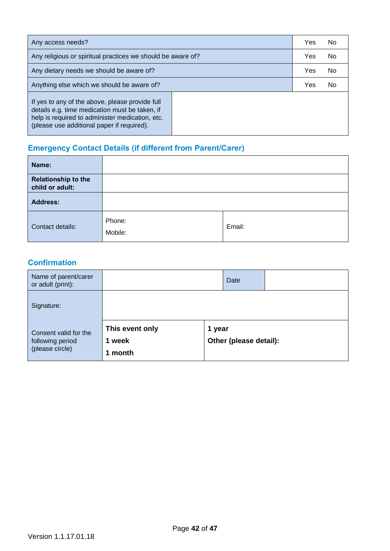| Any access needs?                                                                                                                                                                                  |  | Yes | <b>No</b> |
|----------------------------------------------------------------------------------------------------------------------------------------------------------------------------------------------------|--|-----|-----------|
| Any religious or spiritual practices we should be aware of?                                                                                                                                        |  | Yes | <b>No</b> |
| Any dietary needs we should be aware of?                                                                                                                                                           |  | Yes | <b>No</b> |
| Anything else which we should be aware of?                                                                                                                                                         |  | Yes | No        |
| If yes to any of the above, please provide full<br>details e.g. time medication must be taken, if<br>help is required to administer medication, etc.<br>(please use additional paper if required). |  |     |           |

# **Emergency Contact Details (if different from Parent/Carer)**

| Name:                                         |                   |        |
|-----------------------------------------------|-------------------|--------|
| <b>Relationship to the</b><br>child or adult: |                   |        |
| <b>Address:</b>                               |                   |        |
| Contact details:                              | Phone:<br>Mobile: | Email: |

## **Confirmation**

| Name of parent/carer<br>or adult (print):                    |                                       |        | Date                   |  |
|--------------------------------------------------------------|---------------------------------------|--------|------------------------|--|
| Signature:                                                   |                                       |        |                        |  |
| Consent valid for the<br>following period<br>(please circle) | This event only<br>week<br>1<br>month | 1 year | Other (please detail): |  |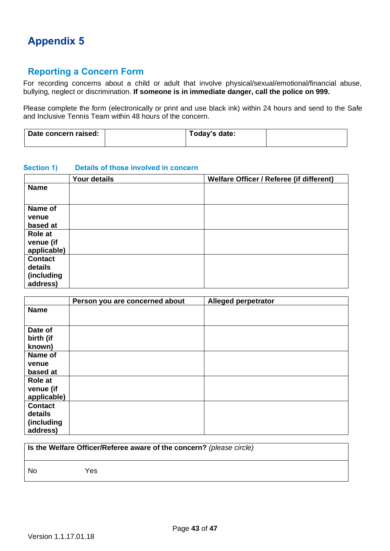# <span id="page-42-0"></span>**Appendix 5**

# **Reporting a Concern Form**

For recording concerns about a child or adult that involve physical/sexual/emotional/financial abuse, bullying, neglect or discrimination. **If someone is in immediate danger, call the police on 999.**

Please complete the form (electronically or print and use black ink) within 24 hours and send to the Safe and Inclusive Tennis Team within 48 hours of the concern.

| Date concern raised: | Today's date: |  |
|----------------------|---------------|--|
|                      |               |  |

#### **Section 1) Details of those involved in concern**

|                | <b>Your details</b> | Welfare Officer / Referee (if different) |
|----------------|---------------------|------------------------------------------|
| <b>Name</b>    |                     |                                          |
|                |                     |                                          |
| Name of        |                     |                                          |
| venue          |                     |                                          |
| based at       |                     |                                          |
| Role at        |                     |                                          |
| venue (if      |                     |                                          |
| applicable)    |                     |                                          |
| <b>Contact</b> |                     |                                          |
| details        |                     |                                          |
| (including     |                     |                                          |
| address)       |                     |                                          |

|                | Person you are concerned about | <b>Alleged perpetrator</b> |
|----------------|--------------------------------|----------------------------|
| <b>Name</b>    |                                |                            |
|                |                                |                            |
| Date of        |                                |                            |
| birth (if      |                                |                            |
| known)         |                                |                            |
| Name of        |                                |                            |
| venue          |                                |                            |
| based at       |                                |                            |
| Role at        |                                |                            |
| venue (if      |                                |                            |
| applicable)    |                                |                            |
| <b>Contact</b> |                                |                            |
| details        |                                |                            |
| (including     |                                |                            |
| address)       |                                |                            |

| Is the Welfare Officer/Referee aware of the concern? (please circle) |      |
|----------------------------------------------------------------------|------|
| - No                                                                 | Yes. |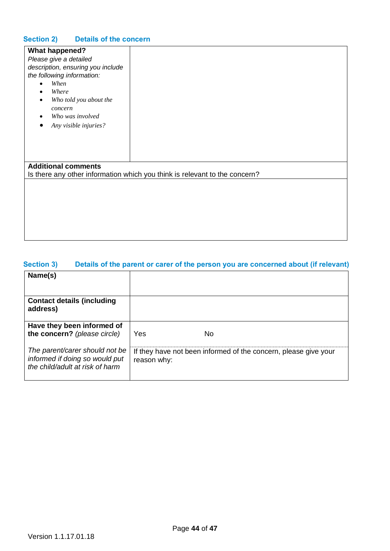## **Section 2) Details of the concern**

| <b>What happened?</b><br>Please give a detailed<br>description, ensuring you include<br>the following information:<br>When<br>Where<br>Who told you about the<br>٠<br>concern<br>Who was involved<br>Any visible injuries? |                                                                            |
|----------------------------------------------------------------------------------------------------------------------------------------------------------------------------------------------------------------------------|----------------------------------------------------------------------------|
| <b>Additional comments</b>                                                                                                                                                                                                 | Is there any other information which you think is relevant to the concern? |
|                                                                                                                                                                                                                            |                                                                            |

## **Section 3) Details of the parent or carer of the person you are concerned about (if relevant)**

| Name(s)                                                                                             |                                                                                |
|-----------------------------------------------------------------------------------------------------|--------------------------------------------------------------------------------|
| <b>Contact details (including</b><br>address)                                                       |                                                                                |
| Have they been informed of<br>the concern? (please circle)                                          | Yes<br>No                                                                      |
| The parent/carer should not be<br>informed if doing so would put<br>the child/adult at risk of harm | If they have not been informed of the concern, please give your<br>reason why: |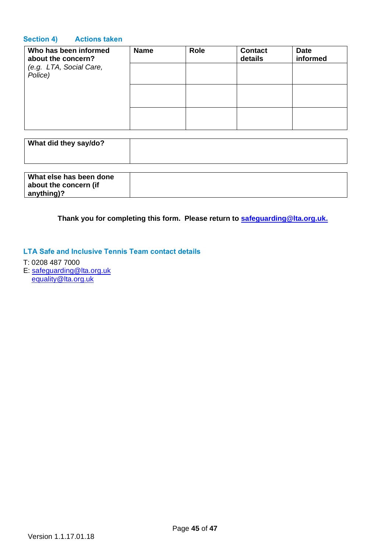### **Section 4) Actions taken**

| Who has been informed<br>about the concern? | <b>Name</b> | <b>Role</b> | <b>Contact</b><br>details | <b>Date</b><br>informed |
|---------------------------------------------|-------------|-------------|---------------------------|-------------------------|
| (e.g. LTA, Social Care,<br>Police)          |             |             |                           |                         |
|                                             |             |             |                           |                         |
|                                             |             |             |                           |                         |

| What did they say/do?   |  |
|-------------------------|--|
| What alco has hoon dono |  |

| What else has been done |  |
|-------------------------|--|
| about the concern (if   |  |
| $ $ anything)?          |  |

**Thank you for completing this form. Please return to [safeguarding@lta.org.uk.](mailto:safeguarding@lta.org.uk)**

### **LTA Safe and Inclusive Tennis Team contact details**

- T: 0208 487 7000
- E: [safeguarding@lta.org.uk](mailto:safeguarding@lta.org.uk) [equality@lta.org.uk](mailto:equality@lta.org.uk)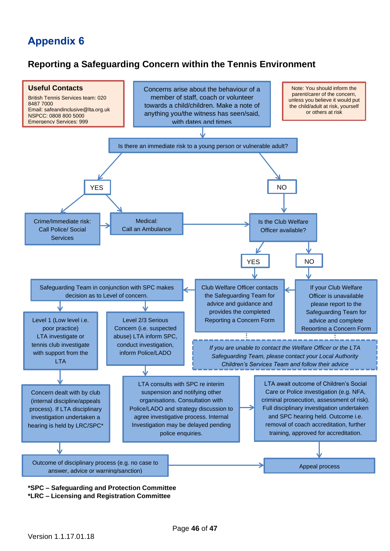# <span id="page-45-0"></span>**Appendix 6**

## **Reporting a Safeguarding Concern within the Tennis Environment**



**\*LRC – Licensing and Registration Committee**